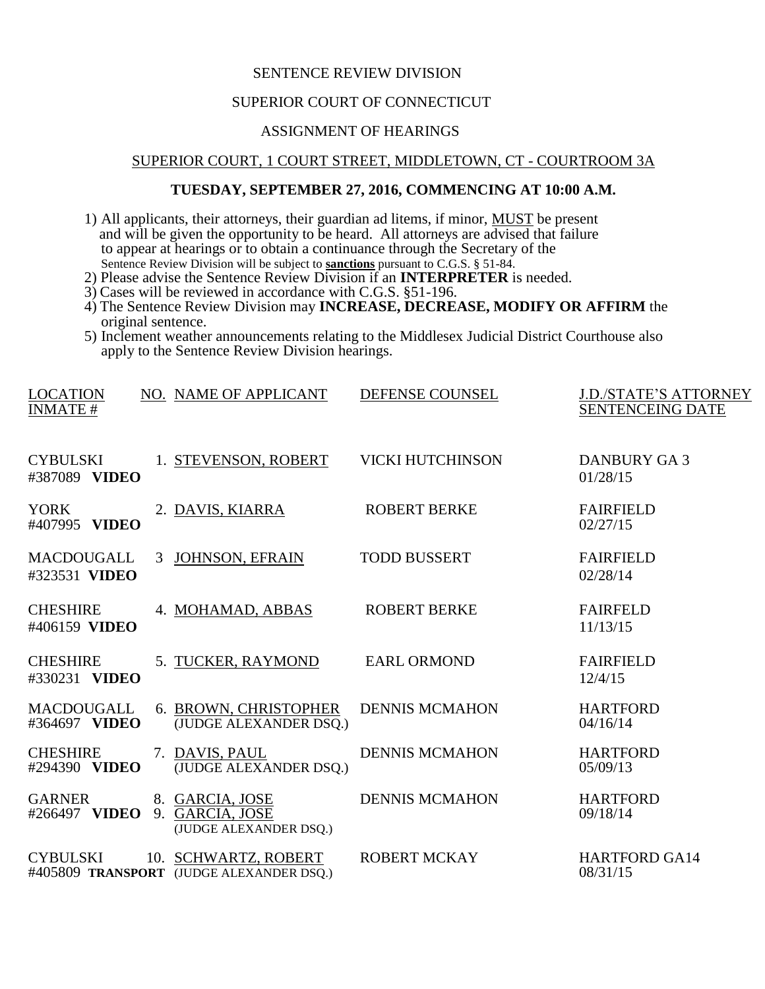# SENTENCE REVIEW DIVISION

#### SUPERIOR COURT OF CONNECTICUT

# ASSIGNMENT OF HEARINGS

### SUPERIOR COURT, 1 COURT STREET, MIDDLETOWN, CT - COURTROOM 3A

# **TUESDAY, SEPTEMBER 27, 2016, COMMENCING AT 10:00 A.M.**

- 1) All applicants, their attorneys, their guardian ad litems, if minor, MUST be present and will be given the opportunity to be heard. All attorneys are advised that failure to appear at hearings or to obtain a continuance through the Secretary of the Sentence Review Division will be subject to **sanctions** pursuant to C.G.S. § 51-84.
- 2) Please advise the Sentence Review Division if an **INTERPRETER** is needed.
- 3) Cases will be reviewed in accordance with C.G.S. §51-196.
- 4) The Sentence Review Division may **INCREASE, DECREASE, MODIFY OR AFFIRM** the original sentence.
- 5) Inclement weather announcements relating to the Middlesex Judicial District Courthouse also apply to the Sentence Review Division hearings.

| <b>LOCATION</b><br><b>INMATE#</b>  |    | NO. NAME OF APPLICANT                                            | DEFENSE COUNSEL         | <b>J.D./STATE'S ATTORNEY</b><br><b>SENTENCEING DATE</b> |
|------------------------------------|----|------------------------------------------------------------------|-------------------------|---------------------------------------------------------|
| <b>CYBULSKI</b><br>#387089 VIDEO   |    | 1. STEVENSON, ROBERT                                             | <b>VICKI HUTCHINSON</b> | DANBURY GA 3<br>01/28/15                                |
| <b>YORK</b><br>#407995 VIDEO       |    | 2. DAVIS, KIARRA                                                 | <b>ROBERT BERKE</b>     | <b>FAIRFIELD</b><br>02/27/15                            |
| <b>MACDOUGALL</b><br>#323531 VIDEO | 3  | <b>JOHNSON, EFRAIN</b>                                           | <b>TODD BUSSERT</b>     | <b>FAIRFIELD</b><br>02/28/14                            |
| <b>CHESHIRE</b><br>#406159 VIDEO   |    | 4. MOHAMAD, ABBAS                                                | <b>ROBERT BERKE</b>     | <b>FAIRFELD</b><br>11/13/15                             |
| <b>CHESHIRE</b><br>#330231 VIDEO   |    | 5. TUCKER, RAYMOND                                               | <b>EARL ORMOND</b>      | <b>FAIRFIELD</b><br>12/4/15                             |
| <b>MACDOUGALL</b><br>#364697 VIDEO |    | 6. BROWN, CHRISTOPHER<br>(JUDGE ALEXANDER DSQ.)                  | <b>DENNIS MCMAHON</b>   | <b>HARTFORD</b><br>04/16/14                             |
| <b>CHESHIRE</b><br>#294390 VIDEO   |    | 7. DAVIS, PAUL<br>(JUDGE ALEXANDER DSQ.)                         | <b>DENNIS MCMAHON</b>   | <b>HARTFORD</b><br>05/09/13                             |
| <b>GARNER</b><br>#266497 VIDEO     | 9. | 8. GARCIA, JOSE<br>GARCIA, JOSE<br>(JUDGE ALEXANDER DSQ.)        | <b>DENNIS MCMAHON</b>   | <b>HARTFORD</b><br>09/18/14                             |
| <b>CYBULSKI</b>                    |    | 10. SCHWARTZ, ROBERT<br>#405809 TRANSPORT (JUDGE ALEXANDER DSQ.) | <b>ROBERT MCKAY</b>     | <b>HARTFORD GA14</b><br>08/31/15                        |